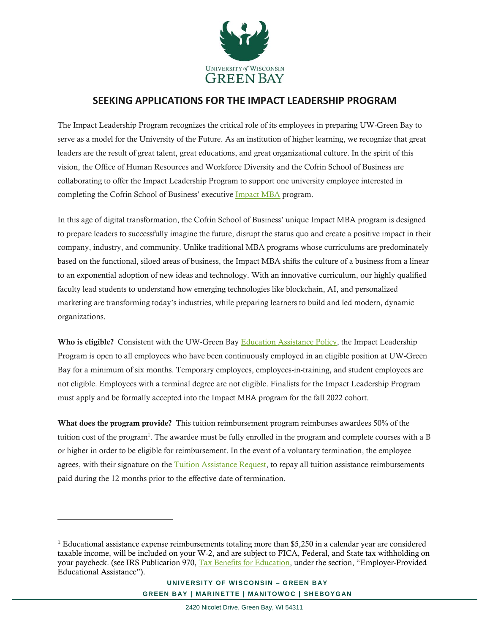

## **SEEKING APPLICATIONS FOR THE IMPACT LEADERSHIP PROGRAM**

The Impact Leadership Program recognizes the critical role of its employees in preparing UW-Green Bay to serve as a model for the University of the Future. As an institution of higher learning, we recognize that great leaders are the result of great talent, great educations, and great organizational culture. In the spirit of this vision, the Office of Human Resources and Workforce Diversity and the Cofrin School of Business are collaborating to offer the Impact Leadership Program to support one university employee interested in completing the Cofrin School of Business' executive [Impact MBA](https://www.uwgb.edu/executive-impact-mba/) program.

In this age of digital transformation, the Cofrin School of Business' unique Impact MBA program is designed to prepare leaders to successfully imagine the future, disrupt the status quo and create a positive impact in their company, industry, and community. Unlike traditional MBA programs whose curriculums are predominately based on the functional, siloed areas of business, the Impact MBA shifts the culture of a business from a linear to an exponential adoption of new ideas and technology. With an innovative curriculum, our highly qualified faculty lead students to understand how emerging technologies like blockchain, AI, and personalized marketing are transforming today's industries, while preparing learners to build and led modern, dynamic organizations.

Who is eligible? Consistent with the UW-Green Bay [Education Assistance Policy,](https://www.uwgb.edu/UWGBCMS/media/policies/files/EducationalAssistance-Policy-HR-14-08-01-(002).pdf?ext=.pdf) the Impact Leadership Program is open to all employees who have been continuously employed in an eligible position at UW-Green Bay for a minimum of six months. Temporary employees, employees-in-training, and student employees are not eligible. Employees with a terminal degree are not eligible. Finalists for the Impact Leadership Program must apply and be formally accepted into the Impact MBA program for the fall 2022 cohort.

What does the program provide? This tuition reimbursement program reimburses awardees 50% of the tuition cost of the program<sup>1</sup>. The awardee must be fully enrolled in the program and complete courses with a B or higher in order to be eligible for reimbursement. In the event of a voluntary termination, the employee agrees, with their signature on th[e Tuition Assistance Request,](https://www.uwgb.edu/UWGBCMS/media/hr/forms/TuitionAssistanceRequest.docx?ext=.docx) to repay all tuition assistance reimbursements paid during the 12 months prior to the effective date of termination.

 $\overline{a}$ 

<sup>1</sup> Educational assistance expense reimbursements totaling more than \$5,250 in a calendar year are considered taxable income, will be included on your W-2, and are subject to FICA, Federal, and State tax withholding on your paycheck. (see IRS Publication 970, [Tax Benefits for Education](https://www.irs.gov/pub/irs-pdf/p970.pdf), under the section, "Employer-Provided Educational Assistance").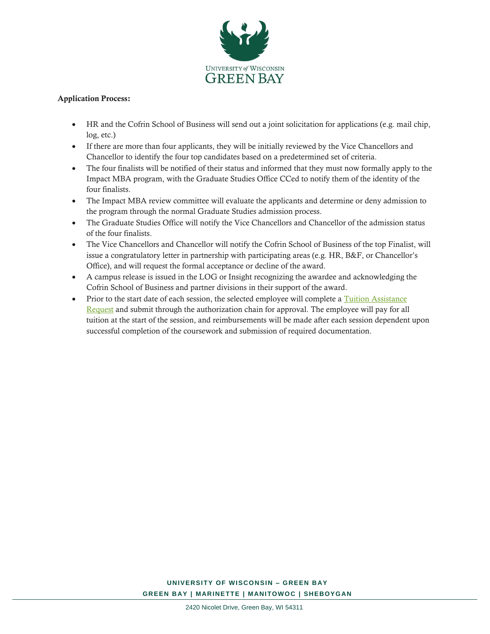

## Application Process:

- HR and the Cofrin School of Business will send out a joint solicitation for applications (e.g. mail chip, log, etc.)
- If there are more than four applicants, they will be initially reviewed by the Vice Chancellors and Chancellor to identify the four top candidates based on a predetermined set of criteria.
- The four finalists will be notified of their status and informed that they must now formally apply to the Impact MBA program, with the Graduate Studies Office CCed to notify them of the identity of the four finalists.
- The Impact MBA review committee will evaluate the applicants and determine or deny admission to the program through the normal Graduate Studies admission process.
- The Graduate Studies Office will notify the Vice Chancellors and Chancellor of the admission status of the four finalists.
- The Vice Chancellors and Chancellor will notify the Cofrin School of Business of the top Finalist, will issue a congratulatory letter in partnership with participating areas (e.g. HR, B&F, or Chancellor's Office), and will request the formal acceptance or decline of the award.
- A campus release is issued in the LOG or Insight recognizing the awardee and acknowledging the Cofrin School of Business and partner divisions in their support of the award.
- Prior to the start date of each session, the selected employee will complete a Tuition Assistance [Request](https://www.uwgb.edu/UWGBCMS/media/hr/forms/TuitionAssistanceRequest.docx?ext=.docx) and submit through the authorization chain for approval. The employee will pay for all tuition at the start of the session, and reimbursements will be made after each session dependent upon successful completion of the coursework and submission of required documentation.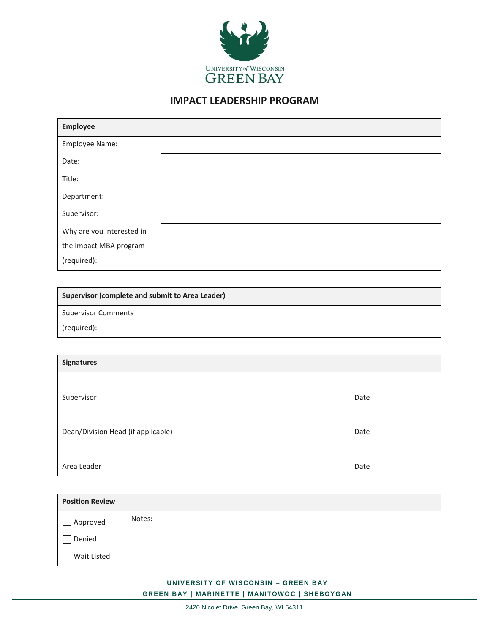

## **IMPACT LEADERSHIP PROGRAM**

| Employee                  |  |
|---------------------------|--|
| Employee Name:            |  |
| Date:                     |  |
| Title:                    |  |
| Department:               |  |
| Supervisor:               |  |
| Why are you interested in |  |
| the Impact MBA program    |  |
| (required):               |  |

**Supervisor (complete and submit to Area Leader)**

Supervisor Comments

(required):

| <b>Signatures</b>                  |      |
|------------------------------------|------|
|                                    |      |
| Supervisor                         | Date |
|                                    |      |
| Dean/Division Head (if applicable) | Date |
|                                    |      |
| Area Leader                        | Date |

| <b>Position Review</b> |        |
|------------------------|--------|
| Approved               | Notes: |
| Denied                 |        |
| Wait Listed            |        |

## **UNIVERSITY OF WISCONSIN – GREEN B AY GREEN BAY | MARINETTE | MANITOWOC | SHEBOYGAN**